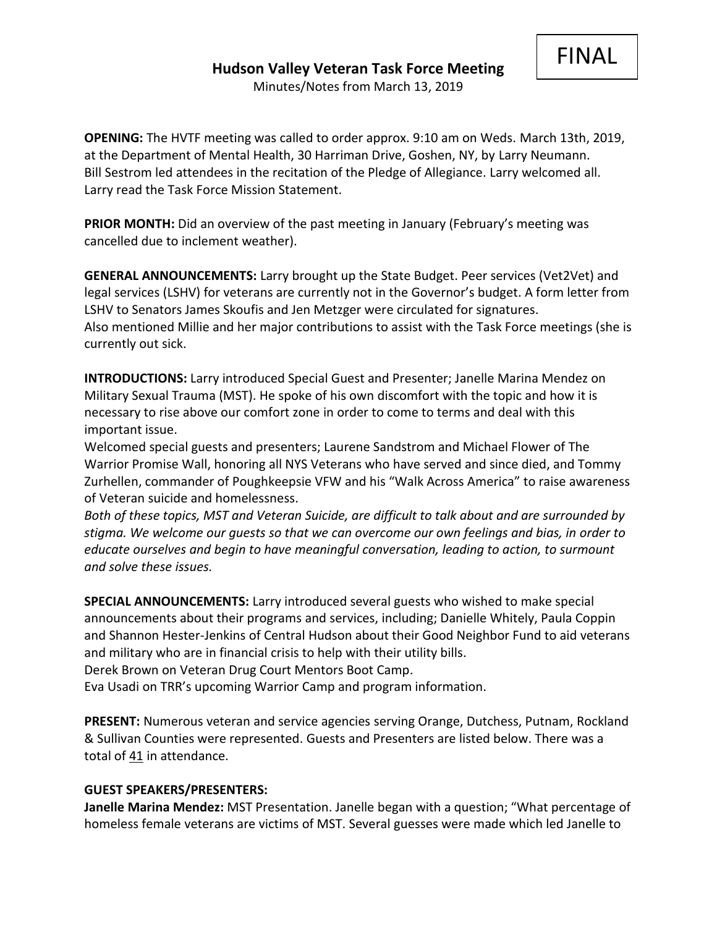FINAL

**OPENING:** The HVTF meeting was called to order approx. 9:10 am on Weds. March 13th, 2019, at the Department of Mental Health, 30 Harriman Drive, Goshen, NY, by Larry Neumann. Bill Sestrom led attendees in the recitation of the Pledge of Allegiance. Larry welcomed all. Larry read the Task Force Mission Statement.

**PRIOR MONTH:** Did an overview of the past meeting in January (February's meeting was cancelled due to inclement weather).

**GENERAL ANNOUNCEMENTS:** Larry brought up the State Budget. Peer services (Vet2Vet) and legal services (LSHV) for veterans are currently not in the Governor's budget. A form letter from LSHV to Senators James Skoufis and Jen Metzger were circulated for signatures. Also mentioned Millie and her major contributions to assist with the Task Force meetings (she is currently out sick.

**INTRODUCTIONS:** Larry introduced Special Guest and Presenter; Janelle Marina Mendez on Military Sexual Trauma (MST). He spoke of his own discomfort with the topic and how it is necessary to rise above our comfort zone in order to come to terms and deal with this important issue.

Welcomed special guests and presenters; Laurene Sandstrom and Michael Flower of The Warrior Promise Wall, honoring all NYS Veterans who have served and since died, and Tommy Zurhellen, commander of Poughkeepsie VFW and his "Walk Across America" to raise awareness of Veteran suicide and homelessness.

*Both of these topics, MST and Veteran Suicide, are difficult to talk about and are surrounded by stigma. We welcome our guests so that we can overcome our own feelings and bias, in order to educate ourselves and begin to have meaningful conversation, leading to action, to surmount and solve these issues.*

**SPECIAL ANNOUNCEMENTS:** Larry introduced several guests who wished to make special announcements about their programs and services, including; Danielle Whitely, Paula Coppin and Shannon Hester-Jenkins of Central Hudson about their Good Neighbor Fund to aid veterans and military who are in financial crisis to help with their utility bills. Derek Brown on Veteran Drug Court Mentors Boot Camp.

Eva Usadi on TRR's upcoming Warrior Camp and program information.

**PRESENT:** Numerous veteran and service agencies serving Orange, Dutchess, Putnam, Rockland & Sullivan Counties were represented. Guests and Presenters are listed below. There was a total of 41 in attendance.

## **GUEST SPEAKERS/PRESENTERS:**

**Janelle Marina Mendez:** MST Presentation. Janelle began with a question; "What percentage of homeless female veterans are victims of MST. Several guesses were made which led Janelle to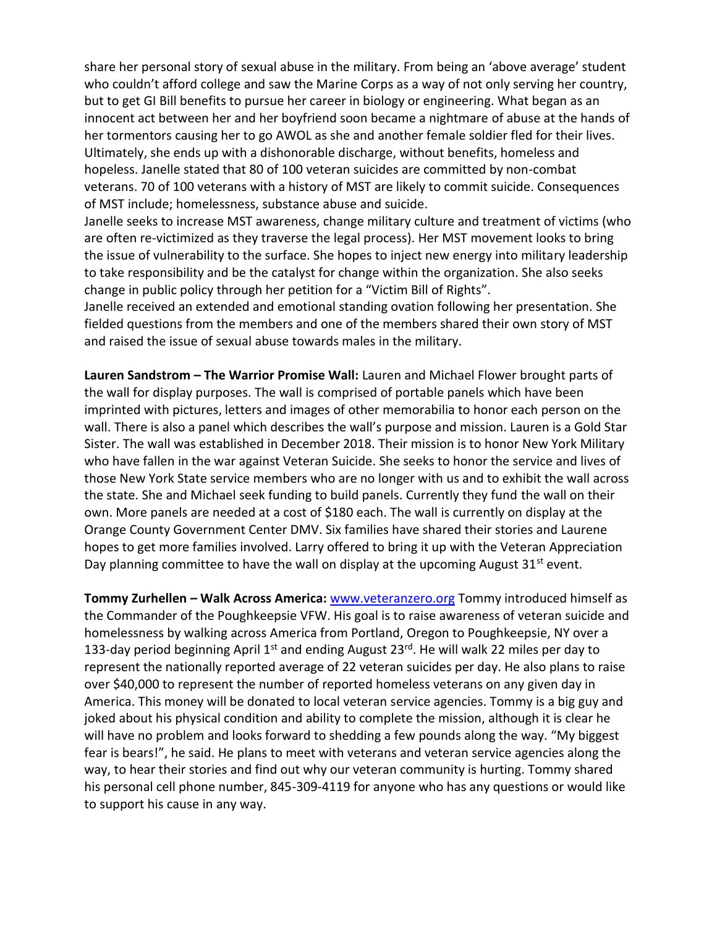share her personal story of sexual abuse in the military. From being an 'above average' student who couldn't afford college and saw the Marine Corps as a way of not only serving her country, but to get GI Bill benefits to pursue her career in biology or engineering. What began as an innocent act between her and her boyfriend soon became a nightmare of abuse at the hands of her tormentors causing her to go AWOL as she and another female soldier fled for their lives. Ultimately, she ends up with a dishonorable discharge, without benefits, homeless and hopeless. Janelle stated that 80 of 100 veteran suicides are committed by non-combat veterans. 70 of 100 veterans with a history of MST are likely to commit suicide. Consequences of MST include; homelessness, substance abuse and suicide.

Janelle seeks to increase MST awareness, change military culture and treatment of victims (who are often re-victimized as they traverse the legal process). Her MST movement looks to bring the issue of vulnerability to the surface. She hopes to inject new energy into military leadership to take responsibility and be the catalyst for change within the organization. She also seeks change in public policy through her petition for a "Victim Bill of Rights".

Janelle received an extended and emotional standing ovation following her presentation. She fielded questions from the members and one of the members shared their own story of MST and raised the issue of sexual abuse towards males in the military.

**Lauren Sandstrom – The Warrior Promise Wall:** Lauren and Michael Flower brought parts of the wall for display purposes. The wall is comprised of portable panels which have been imprinted with pictures, letters and images of other memorabilia to honor each person on the wall. There is also a panel which describes the wall's purpose and mission. Lauren is a Gold Star Sister. The wall was established in December 2018. Their mission is to honor New York Military who have fallen in the war against Veteran Suicide. She seeks to honor the service and lives of those New York State service members who are no longer with us and to exhibit the wall across the state. She and Michael seek funding to build panels. Currently they fund the wall on their own. More panels are needed at a cost of \$180 each. The wall is currently on display at the Orange County Government Center DMV. Six families have shared their stories and Laurene hopes to get more families involved. Larry offered to bring it up with the Veteran Appreciation Day planning committee to have the wall on display at the upcoming August  $31<sup>st</sup>$  event.

**Tommy Zurhellen – Walk Across America:** [www.veteranzero.org](http://www.veteranzero.org/) Tommy introduced himself as the Commander of the Poughkeepsie VFW. His goal is to raise awareness of veteran suicide and homelessness by walking across America from Portland, Oregon to Poughkeepsie, NY over a 133-day period beginning April 1<sup>st</sup> and ending August 23<sup>rd</sup>. He will walk 22 miles per day to represent the nationally reported average of 22 veteran suicides per day. He also plans to raise over \$40,000 to represent the number of reported homeless veterans on any given day in America. This money will be donated to local veteran service agencies. Tommy is a big guy and joked about his physical condition and ability to complete the mission, although it is clear he will have no problem and looks forward to shedding a few pounds along the way. "My biggest fear is bears!", he said. He plans to meet with veterans and veteran service agencies along the way, to hear their stories and find out why our veteran community is hurting. Tommy shared his personal cell phone number, 845-309-4119 for anyone who has any questions or would like to support his cause in any way.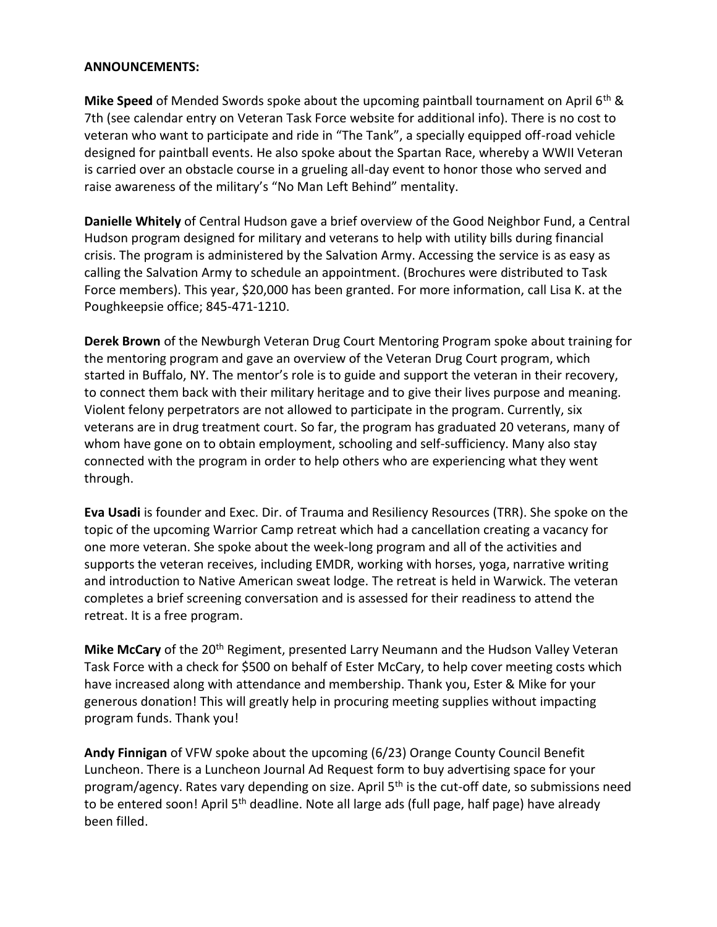## **ANNOUNCEMENTS:**

**Mike Speed** of Mended Swords spoke about the upcoming paintball tournament on April 6th & 7th (see calendar entry on Veteran Task Force website for additional info). There is no cost to veteran who want to participate and ride in "The Tank", a specially equipped off-road vehicle designed for paintball events. He also spoke about the Spartan Race, whereby a WWII Veteran is carried over an obstacle course in a grueling all-day event to honor those who served and raise awareness of the military's "No Man Left Behind" mentality.

**Danielle Whitely** of Central Hudson gave a brief overview of the Good Neighbor Fund, a Central Hudson program designed for military and veterans to help with utility bills during financial crisis. The program is administered by the Salvation Army. Accessing the service is as easy as calling the Salvation Army to schedule an appointment. (Brochures were distributed to Task Force members). This year, \$20,000 has been granted. For more information, call Lisa K. at the Poughkeepsie office; 845-471-1210.

**Derek Brown** of the Newburgh Veteran Drug Court Mentoring Program spoke about training for the mentoring program and gave an overview of the Veteran Drug Court program, which started in Buffalo, NY. The mentor's role is to guide and support the veteran in their recovery, to connect them back with their military heritage and to give their lives purpose and meaning. Violent felony perpetrators are not allowed to participate in the program. Currently, six veterans are in drug treatment court. So far, the program has graduated 20 veterans, many of whom have gone on to obtain employment, schooling and self-sufficiency. Many also stay connected with the program in order to help others who are experiencing what they went through.

**Eva Usadi** is founder and Exec. Dir. of Trauma and Resiliency Resources (TRR). She spoke on the topic of the upcoming Warrior Camp retreat which had a cancellation creating a vacancy for one more veteran. She spoke about the week-long program and all of the activities and supports the veteran receives, including EMDR, working with horses, yoga, narrative writing and introduction to Native American sweat lodge. The retreat is held in Warwick. The veteran completes a brief screening conversation and is assessed for their readiness to attend the retreat. It is a free program.

Mike McCary of the 20<sup>th</sup> Regiment, presented Larry Neumann and the Hudson Valley Veteran Task Force with a check for \$500 on behalf of Ester McCary, to help cover meeting costs which have increased along with attendance and membership. Thank you, Ester & Mike for your generous donation! This will greatly help in procuring meeting supplies without impacting program funds. Thank you!

**Andy Finnigan** of VFW spoke about the upcoming (6/23) Orange County Council Benefit Luncheon. There is a Luncheon Journal Ad Request form to buy advertising space for your program/agency. Rates vary depending on size. April 5<sup>th</sup> is the cut-off date, so submissions need to be entered soon! April 5<sup>th</sup> deadline. Note all large ads (full page, half page) have already been filled.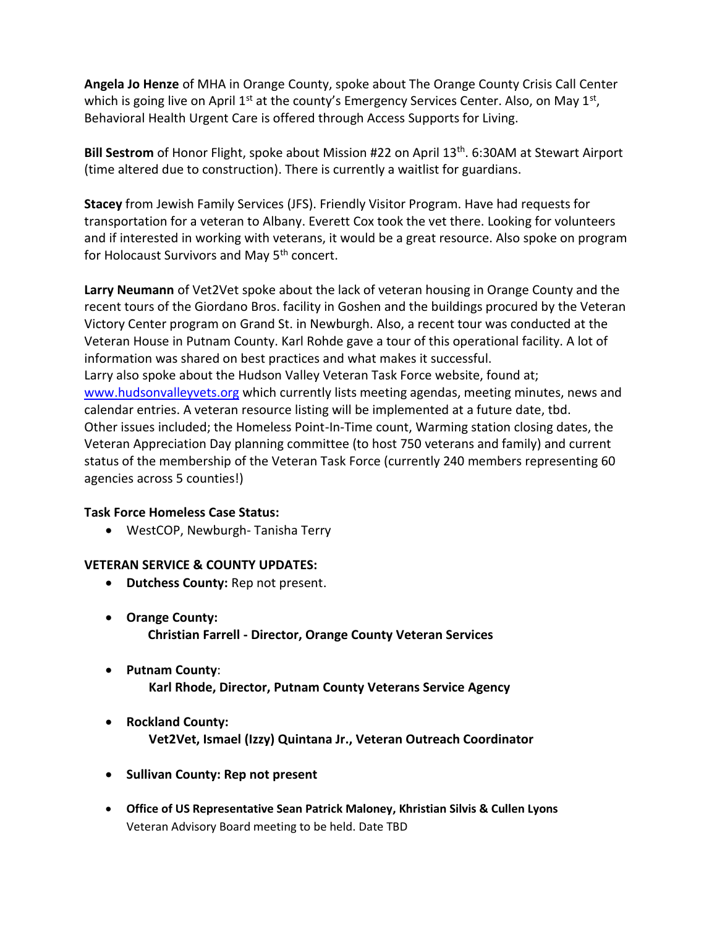**Angela Jo Henze** of MHA in Orange County, spoke about The Orange County Crisis Call Center which is going live on April 1<sup>st</sup> at the county's Emergency Services Center. Also, on May 1<sup>st</sup>, Behavioral Health Urgent Care is offered through Access Supports for Living.

Bill Sestrom of Honor Flight, spoke about Mission #22 on April 13<sup>th</sup>. 6:30AM at Stewart Airport (time altered due to construction). There is currently a waitlist for guardians.

**Stacey** from Jewish Family Services (JFS). Friendly Visitor Program. Have had requests for transportation for a veteran to Albany. Everett Cox took the vet there. Looking for volunteers and if interested in working with veterans, it would be a great resource. Also spoke on program for Holocaust Survivors and May 5<sup>th</sup> concert.

**Larry Neumann** of Vet2Vet spoke about the lack of veteran housing in Orange County and the recent tours of the Giordano Bros. facility in Goshen and the buildings procured by the Veteran Victory Center program on Grand St. in Newburgh. Also, a recent tour was conducted at the Veteran House in Putnam County. Karl Rohde gave a tour of this operational facility. A lot of information was shared on best practices and what makes it successful. Larry also spoke about the Hudson Valley Veteran Task Force website, found at; [www.hudsonvalleyvets.org](http://www.hudsonvalleyvets.org/) which currently lists meeting agendas, meeting minutes, news and calendar entries. A veteran resource listing will be implemented at a future date, tbd. Other issues included; the Homeless Point-In-Time count, Warming station closing dates, the Veteran Appreciation Day planning committee (to host 750 veterans and family) and current status of the membership of the Veteran Task Force (currently 240 members representing 60 agencies across 5 counties!)

## **Task Force Homeless Case Status:**

• WestCOP, Newburgh- Tanisha Terry

## **VETERAN SERVICE & COUNTY UPDATES:**

- **Dutchess County:** Rep not present.
- **Orange County: Christian Farrell - Director, Orange County Veteran Services**
- **Putnam County**:  **Karl Rhode, Director, Putnam County Veterans Service Agency**
- **Rockland County: Vet2Vet, Ismael (Izzy) Quintana Jr., Veteran Outreach Coordinator**
- **Sullivan County: Rep not present**
- **Office of US Representative Sean Patrick Maloney, Khristian Silvis & Cullen Lyons**  Veteran Advisory Board meeting to be held. Date TBD